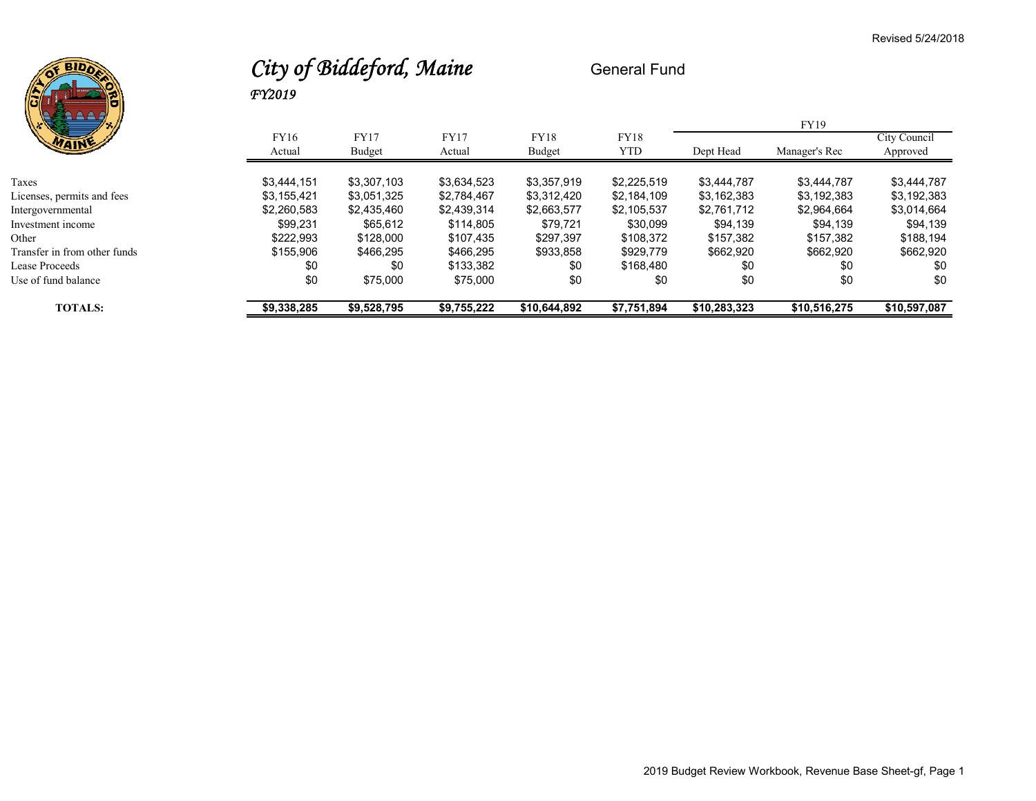

## *City of Biddeford, Maine* General Fund *FY2019*

| <b>TOTALS:</b>               | \$9,338,285 | \$9,528,795 | \$9,755,222 | \$10,644,892 | \$7,751,894 | \$10,283,323 | \$10,516,275  | \$10,597,087 |
|------------------------------|-------------|-------------|-------------|--------------|-------------|--------------|---------------|--------------|
| Use of fund balance          | \$0         | \$75,000    | \$75,000    | \$0          | \$0         | \$0          | \$0           | \$0          |
| Lease Proceeds               | \$0         | \$0         | \$133,382   | \$0          | \$168.480   | \$0          | \$0           | \$0          |
| Transfer in from other funds | \$155,906   | \$466.295   | \$466,295   | \$933,858    | \$929,779   | \$662,920    | \$662,920     | \$662,920    |
| Other                        | \$222.993   | \$128,000   | \$107.435   | \$297.397    | \$108,372   | \$157.382    | \$157.382     | \$188,194    |
| Investment income            | \$99.231    | \$65.612    | \$114.805   | \$79.721     | \$30,099    | \$94,139     | \$94,139      | \$94,139     |
| Intergovernmental            | \$2,260,583 | \$2,435,460 | \$2,439,314 | \$2,663,577  | \$2,105,537 | \$2,761,712  | \$2,964,664   | \$3,014,664  |
| Licenses, permits and fees   | \$3.155.421 | \$3,051,325 | \$2,784,467 | \$3,312,420  | \$2,184,109 | \$3,162,383  | \$3,192,383   | \$3,192,383  |
| Taxes                        | \$3.444.151 | \$3,307,103 | \$3,634,523 | \$3,357,919  | \$2,225,519 | \$3,444,787  | \$3,444,787   | \$3,444,787  |
|                              | Actual      | Budget      | Actual      | Budget       | <b>YTD</b>  | Dept Head    | Manager's Rec | Approved     |
| MAINE                        | FY16        | <b>FY17</b> | <b>FY17</b> | <b>FY18</b>  | FY18        |              |               | City Council |
| バメノミー<br>7 R.I               |             |             |             |              |             |              | FY19          |              |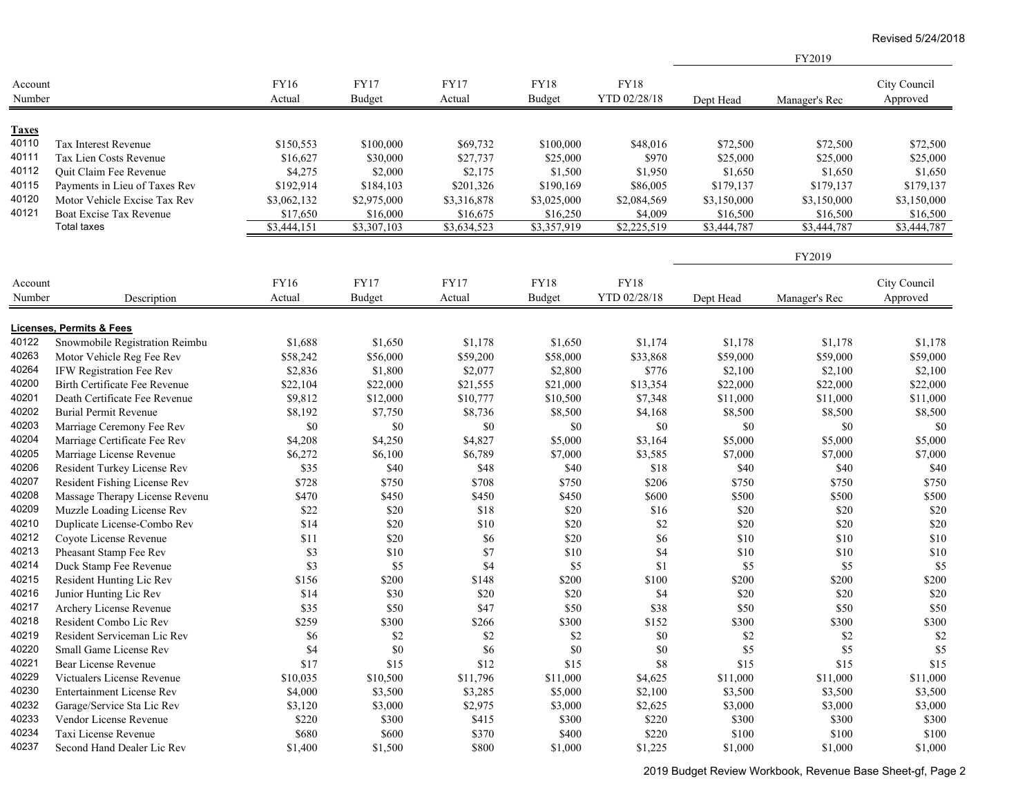FY2019

| Account<br>Number |                                  | FY16<br>Actual | FY17<br><b>Budget</b> | <b>FY17</b><br>Actual | FY18<br><b>Budget</b> | <b>FY18</b><br>YTD 02/28/18 | Dept Head   | Manager's Rec | City Council<br>Approved |
|-------------------|----------------------------------|----------------|-----------------------|-----------------------|-----------------------|-----------------------------|-------------|---------------|--------------------------|
|                   |                                  |                |                       |                       |                       |                             |             |               |                          |
| <b>Taxes</b>      |                                  |                |                       |                       |                       |                             |             |               |                          |
| 40110             | <b>Tax Interest Revenue</b>      | \$150,553      | \$100,000             | \$69,732              | \$100,000             | \$48,016                    | \$72,500    | \$72,500      | \$72,500                 |
| 40111             | Tax Lien Costs Revenue           | \$16,627       | \$30,000              | \$27,737              | \$25,000              | \$970                       | \$25,000    | \$25,000      | \$25,000                 |
| 40112             | Quit Claim Fee Revenue           | \$4,275        | \$2,000               | \$2,175               | \$1,500               | \$1,950                     | \$1,650     | \$1,650       | \$1,650                  |
| 40115             | Payments in Lieu of Taxes Rev    | \$192,914      | \$184,103             | \$201,326             | \$190,169             | \$86,005                    | \$179,137   | \$179,137     | \$179,137                |
| 40120             | Motor Vehicle Excise Tax Rev     | \$3,062,132    | \$2,975,000           | \$3,316,878           | \$3,025,000           | \$2,084,569                 | \$3,150,000 | \$3,150,000   | \$3,150,000              |
| 40121             | Boat Excise Tax Revenue          | \$17,650       | \$16,000              | \$16,675              | \$16,250              | \$4,009                     | \$16,500    | \$16,500      | \$16,500                 |
|                   | <b>Total taxes</b>               | \$3,444,151    | \$3,307,103           | \$3,634,523           | \$3,357,919           | \$2,225,519                 | \$3,444,787 | \$3,444,787   | \$3,444,787              |
|                   |                                  |                |                       |                       |                       |                             |             | FY2019        |                          |
| Account           |                                  | FY16           | FY17                  | FY17                  | <b>FY18</b>           | <b>FY18</b>                 |             |               | City Council             |
| Number            | Description                      | Actual         | Budget                | Actual                | <b>Budget</b>         | YTD 02/28/18                | Dept Head   | Manager's Rec | Approved                 |
|                   |                                  |                |                       |                       |                       |                             |             |               |                          |
|                   | Licenses, Permits & Fees         |                |                       |                       |                       |                             |             |               |                          |
| 40122             | Snowmobile Registration Reimbu   | \$1,688        | \$1,650               | \$1,178               | \$1,650               | \$1,174                     | \$1,178     | \$1,178       | \$1,178                  |
| 40263             | Motor Vehicle Reg Fee Rev        | \$58,242       | \$56,000              | \$59,200              | \$58,000              | \$33,868                    | \$59,000    | \$59,000      | \$59,000                 |
| 40264             | IFW Registration Fee Rev         | \$2,836        | \$1,800               | \$2,077               | \$2,800               | \$776                       | \$2,100     | \$2,100       | \$2,100                  |
| 40200             | Birth Certificate Fee Revenue    | \$22,104       | \$22,000              | \$21,555              | \$21,000              | \$13,354                    | \$22,000    | \$22,000      | \$22,000                 |
| 40201             | Death Certificate Fee Revenue    | \$9,812        | \$12,000              | \$10,777              | \$10,500              | \$7,348                     | \$11,000    | \$11,000      | \$11,000                 |
| 40202             | <b>Burial Permit Revenue</b>     | \$8,192        | \$7,750               | \$8,736               | \$8,500               | \$4,168                     | \$8,500     | \$8,500       | \$8,500                  |
| 40203             | Marriage Ceremony Fee Rev        | $\$0$          | \$0                   | \$0                   | \$0                   | \$0                         | $\$0$       | $\$0$         | \$0                      |
| 40204             | Marriage Certificate Fee Rev     | \$4,208        | \$4,250               | \$4,827               | \$5,000               | \$3,164                     | \$5,000     | \$5,000       | \$5,000                  |
| 40205             | Marriage License Revenue         | \$6,272        | \$6,100               | \$6,789               | \$7,000               | \$3,585                     | \$7,000     | \$7,000       | \$7,000                  |
| 40206             | Resident Turkey License Rev      | \$35           | \$40                  | \$48                  | \$40                  | \$18                        | \$40        | \$40          | \$40                     |
| 40207             | Resident Fishing License Rev     | \$728          | \$750                 | \$708                 | \$750                 | \$206                       | \$750       | \$750         | \$750                    |
| 40208             | Massage Therapy License Revenu   | \$470          | \$450                 | \$450                 | \$450                 | \$600                       | \$500       | \$500         | \$500                    |
| 40209             | Muzzle Loading License Rev       | \$22           | \$20                  | \$18                  | \$20                  | \$16                        | \$20        | \$20          | \$20                     |
| 40210             | Duplicate License-Combo Rev      | \$14           | \$20                  | \$10                  | \$20                  | $\$2$                       | \$20        | \$20          | \$20                     |
| 40212             | Coyote License Revenue           | \$11           | \$20                  | \$6                   | \$20                  | \$6                         | \$10        | \$10          | \$10                     |
| 40213             | Pheasant Stamp Fee Rev           | \$3            | \$10                  | $\$7$                 | \$10                  | \$4                         | \$10        | \$10          | \$10                     |
| 40214             | Duck Stamp Fee Revenue           | \$3            | \$5                   | \$4                   | \$5                   | \$1                         | \$5         | \$5           | \$5                      |
| 40215             | Resident Hunting Lic Rev         | \$156          | \$200                 | \$148                 | \$200                 | \$100                       | \$200       | \$200         | \$200                    |
| 40216             | Junior Hunting Lic Rev           | \$14           | \$30                  | \$20                  | \$20                  | \$4                         | \$20        | \$20          | \$20                     |
| 40217             | Archery License Revenue          | \$35           | \$50                  | \$47                  | \$50                  | \$38                        | \$50        | \$50          | \$50                     |
| 40218             | Resident Combo Lic Rev           | \$259          | \$300                 | \$266                 | \$300                 | \$152                       | \$300       | \$300         | \$300                    |
| 40219             | Resident Serviceman Lic Rev      | \$6            | \$2                   | \$2                   | $\$2$                 | \$0                         | \$2         | \$2           | $\$2$                    |
| 40220             | Small Game License Rev           | \$4            | \$0                   | \$6                   | $\$0$                 | \$0                         | \$5         | $\$5$         | $\$5$                    |
| 40221             | Bear License Revenue             | \$17           | \$15                  | \$12                  | \$15                  | $\$8$                       | \$15        | \$15          | \$15                     |
| 40229             | Victualers License Revenue       | \$10,035       | \$10,500              | \$11,796              | \$11,000              | \$4,625                     | \$11,000    | \$11,000      | \$11,000                 |
| 40230             | <b>Entertainment License Rev</b> | \$4,000        | \$3,500               | \$3,285               | \$5,000               | \$2,100                     | \$3,500     | \$3,500       | \$3,500                  |
| 40232             | Garage/Service Sta Lic Rev       | \$3,120        | \$3,000               | \$2,975               | \$3,000               | \$2,625                     | \$3,000     | \$3,000       | \$3,000                  |
| 40233             | Vendor License Revenue           | \$220          | \$300                 | \$415                 | \$300                 | \$220                       | \$300       | \$300         | \$300                    |
| 40234             | Taxi License Revenue             | \$680          | \$600                 | \$370                 | \$400                 | \$220                       | \$100       | \$100         | \$100                    |
| 40237             | Second Hand Dealer Lic Rev       | \$1,400        | \$1,500               | \$800                 | \$1,000               | \$1,225                     | \$1,000     | \$1,000       | \$1,000                  |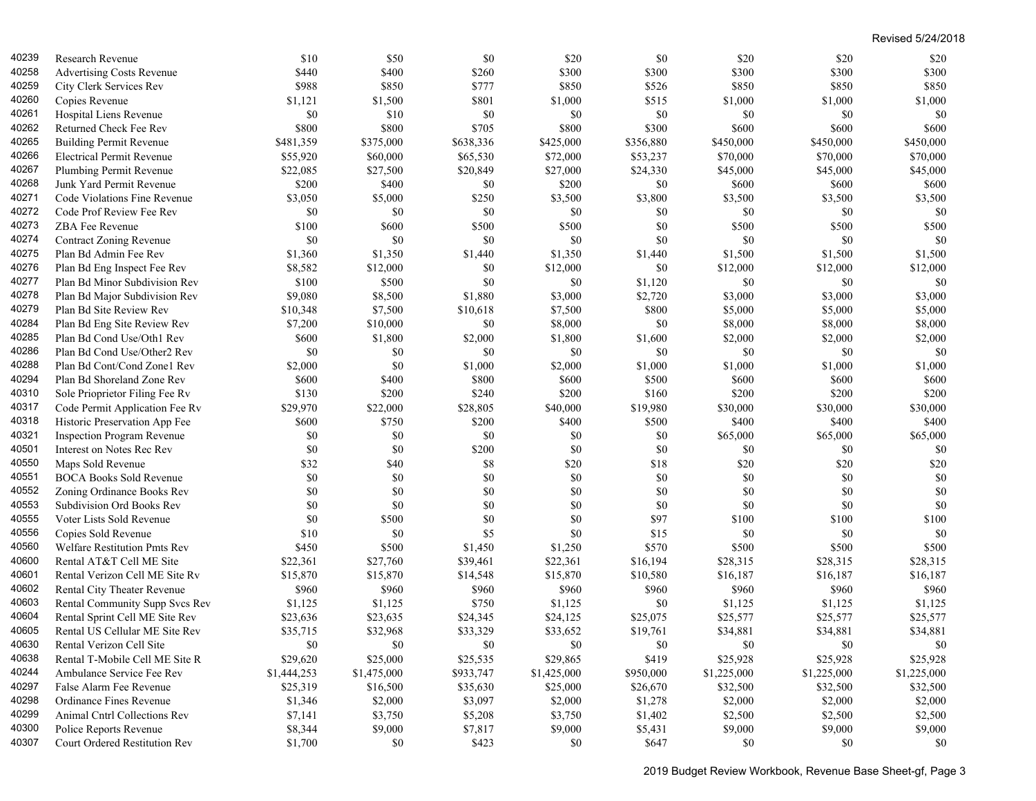| 40239 | Research Revenue                    | \$10        | \$50        | \$0       | \$20        | \$0       | \$20        | \$20        | \$20        |
|-------|-------------------------------------|-------------|-------------|-----------|-------------|-----------|-------------|-------------|-------------|
| 40258 | <b>Advertising Costs Revenue</b>    | \$440       | \$400       | \$260     | \$300       | \$300     | \$300       | \$300       | \$300       |
| 40259 | City Clerk Services Rev             | \$988       | \$850       | \$777     | \$850       | \$526     | \$850       | \$850       | \$850       |
| 40260 | Copies Revenue                      | \$1,121     | \$1,500     | \$801     | \$1,000     | \$515     | \$1,000     | \$1,000     | \$1,000     |
| 40261 | Hospital Liens Revenue              | \$0         | \$10        | \$0       | \$0         | \$0       | \$0         | \$0         | \$0         |
| 40262 | Returned Check Fee Rev              | \$800       | \$800       | \$705     | \$800       | \$300     | \$600       | \$600       | \$600       |
| 40265 | <b>Building Permit Revenue</b>      | \$481,359   | \$375,000   | \$638,336 | \$425,000   | \$356,880 | \$450,000   | \$450,000   | \$450,000   |
| 40266 | <b>Electrical Permit Revenue</b>    | \$55,920    | \$60,000    | \$65,530  | \$72,000    | \$53,237  | \$70,000    | \$70,000    | \$70,000    |
| 40267 | Plumbing Permit Revenue             | \$22,085    | \$27,500    | \$20,849  | \$27,000    | \$24,330  | \$45,000    | \$45,000    | \$45,000    |
| 40268 | Junk Yard Permit Revenue            | \$200       | \$400       | \$0       | \$200       | \$0       | \$600       | \$600       | \$600       |
| 40271 | Code Violations Fine Revenue        | \$3,050     | \$5,000     | \$250     | \$3,500     | \$3,800   | \$3,500     | \$3,500     | \$3,500     |
| 40272 | Code Prof Review Fee Rev            | \$0         | \$0         | \$0       | \$0         | \$0       | \$0         | \$0         | \$0         |
| 40273 | ZBA Fee Revenue                     | \$100       | \$600       | \$500     | \$500       | \$0       | \$500       | \$500       | \$500       |
| 40274 | <b>Contract Zoning Revenue</b>      | \$0         | \$0         | \$0       | \$0         | \$0       | \$0         | \$0         | \$0         |
| 40275 | Plan Bd Admin Fee Rev               | \$1,360     | \$1,350     | \$1,440   | \$1,350     | \$1,440   | \$1,500     | \$1,500     | \$1,500     |
| 40276 | Plan Bd Eng Inspect Fee Rev         | \$8,582     | \$12,000    | \$0       | \$12,000    | \$0       | \$12,000    | \$12,000    | \$12,000    |
| 40277 | Plan Bd Minor Subdivision Rev       | \$100       | \$500       | \$0       | \$0         | \$1,120   | \$0         | \$0         | \$0         |
| 40278 | Plan Bd Major Subdivision Rev       | \$9,080     | \$8,500     | \$1,880   | \$3,000     | \$2,720   | \$3,000     | \$3,000     | \$3,000     |
| 40279 | Plan Bd Site Review Rev             | \$10,348    | \$7,500     | \$10,618  | \$7,500     | \$800     | \$5,000     | \$5,000     | \$5,000     |
| 40284 | Plan Bd Eng Site Review Rev         | \$7,200     | \$10,000    | \$0       | \$8,000     | \$0       | \$8,000     | \$8,000     | \$8,000     |
| 40285 | Plan Bd Cond Use/Oth1 Rev           | \$600       | \$1,800     | \$2,000   | \$1,800     | \$1,600   | \$2,000     | \$2,000     | \$2,000     |
| 40286 | Plan Bd Cond Use/Other2 Rev         | \$0         | \$0         | \$0       | \$0         | \$0       | \$0         | \$0         | \$0         |
| 40288 | Plan Bd Cont/Cond Zone1 Rev         | \$2,000     | \$0         | \$1,000   | \$2,000     | \$1,000   | \$1,000     | \$1,000     | \$1,000     |
| 40294 | Plan Bd Shoreland Zone Rev          | \$600       | \$400       | \$800     | \$600       | \$500     | \$600       | \$600       | \$600       |
| 40310 | Sole Prioprietor Filing Fee Rv      | \$130       | \$200       | \$240     | \$200       | \$160     | \$200       | \$200       | \$200       |
| 40317 | Code Permit Application Fee Rv      | \$29,970    | \$22,000    | \$28,805  | \$40,000    | \$19,980  | \$30,000    | \$30,000    | \$30,000    |
| 40318 | Historic Preservation App Fee       | \$600       | \$750       | \$200     | \$400       | \$500     | \$400       | \$400       | \$400       |
| 40321 | <b>Inspection Program Revenue</b>   | \$0         | \$0         | \$0       | \$0         | \$0       | \$65,000    | \$65,000    | \$65,000    |
| 40501 | Interest on Notes Rec Rev           | \$0         | \$0         | \$200     | \$0         | \$0       | \$0         | \$0         | \$0         |
| 40550 | Maps Sold Revenue                   | \$32        | \$40        | \$8       | \$20        | \$18      | \$20        | \$20        | \$20        |
| 40551 | <b>BOCA Books Sold Revenue</b>      | \$0         | \$0         | \$0       | \$0         | \$0       | \$0         | \$0         | \$0         |
| 40552 | Zoning Ordinance Books Rev          | \$0         | \$0         | \$0       | \$0         | \$0       | \$0         | \$0         | \$0         |
| 40553 | Subdivision Ord Books Rev           | \$0         | \$0         | \$0       | \$0         | \$0       | \$0         | \$0         | \$0         |
| 40555 | Voter Lists Sold Revenue            | \$0         | \$500       | \$0       | \$0         | \$97      | \$100       | \$100       | \$100       |
| 40556 | Copies Sold Revenue                 | \$10        | \$0         | \$5       | \$0         | \$15      | \$0         | \$0         | \$0         |
| 40560 | <b>Welfare Restitution Pmts Rev</b> | \$450       | \$500       | \$1,450   | \$1,250     | \$570     | \$500       | \$500       | \$500       |
| 40600 | Rental AT&T Cell ME Site            | \$22,361    | \$27,760    | \$39,461  | \$22,361    | \$16,194  | \$28,315    | \$28,315    | \$28,315    |
| 40601 | Rental Verizon Cell ME Site Rv      | \$15,870    | \$15,870    | \$14,548  | \$15,870    | \$10,580  | \$16,187    | \$16,187    | \$16,187    |
| 40602 | Rental City Theater Revenue         | \$960       | \$960       | \$960     | \$960       | \$960     | \$960       | \$960       | \$960       |
| 40603 | Rental Community Supp Svcs Rev      | \$1,125     | \$1,125     | \$750     | \$1,125     | \$0       | \$1,125     | \$1,125     | \$1,125     |
| 40604 | Rental Sprint Cell ME Site Rev      | \$23,636    | \$23,635    | \$24,345  | \$24,125    | \$25,075  | \$25,577    | \$25,577    | \$25,577    |
| 40605 | Rental US Cellular ME Site Rev      | \$35,715    | \$32,968    | \$33,329  | \$33,652    | \$19,761  | \$34,881    | \$34,881    | \$34,881    |
| 40630 | Rental Verizon Cell Site            | \$0         | \$0         | $\$0$     | $\$0$       | $\$0$     | $\$0$       | $\$0$       | \$0         |
| 40638 | Rental T-Mobile Cell ME Site R      | \$29,620    | \$25,000    | \$25,535  | \$29,865    | \$419     | \$25,928    | \$25,928    | \$25,928    |
| 40244 | Ambulance Service Fee Rev           | \$1,444,253 | \$1,475,000 | \$933,747 | \$1,425,000 | \$950,000 | \$1,225,000 | \$1,225,000 | \$1,225,000 |
| 40297 | False Alarm Fee Revenue             | \$25,319    | \$16,500    | \$35,630  | \$25,000    | \$26,670  | \$32,500    | \$32,500    | \$32,500    |
| 40298 | Ordinance Fines Revenue             | \$1,346     | \$2,000     | \$3,097   | \$2,000     | \$1,278   | \$2,000     | \$2,000     | \$2,000     |
| 40299 | Animal Cntrl Collections Rev        | \$7,141     | \$3,750     | \$5,208   | \$3,750     | \$1,402   | \$2,500     | \$2,500     | \$2,500     |
| 40300 | Police Reports Revenue              | \$8,344     | \$9,000     | \$7,817   | \$9,000     | \$5,431   | \$9,000     | \$9,000     | \$9,000     |
| 40307 | Court Ordered Restitution Rev       | \$1,700     | \$0         | \$423     | \$0         | \$647     | \$0         | \$0         | \$0         |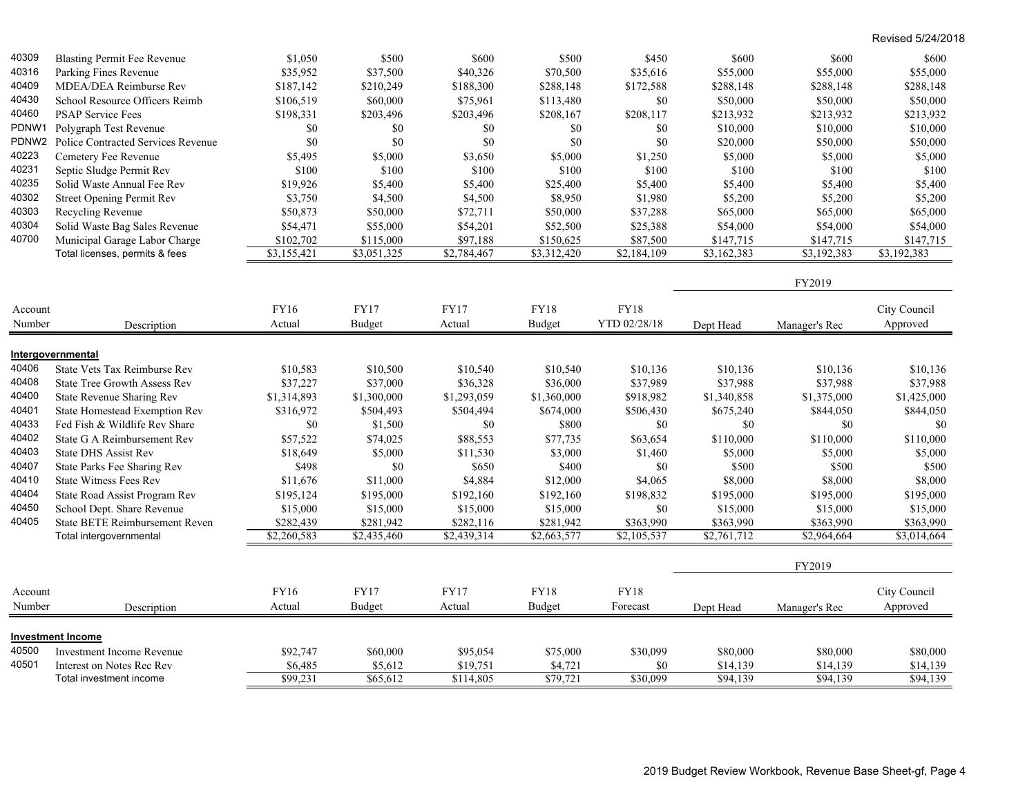| <b>Blasting Permit Fee Revenue</b><br>Parking Fines Revenue<br>40316<br>\$35,952<br>\$37,500<br>\$40,326<br>\$70,500<br>\$55,000<br>\$35,616<br>\$55,000<br>\$55,000<br>40409<br>MDEA/DEA Reimburse Rev<br>\$187,142<br>\$210,249<br>\$188,300<br>\$288,148<br>\$172,588<br>\$288,148<br>\$288,148<br>\$288,148<br>40430<br>School Resource Officers Reimb<br>\$106,519<br>\$60,000<br>\$113,480<br>\$0<br>\$50,000<br>\$50,000<br>\$50,000<br>\$75,961<br>40460<br><b>PSAP Service Fees</b><br>\$198,331<br>\$203,496<br>\$203,496<br>\$208,117<br>\$213,932<br>\$213,932<br>\$208,167<br>\$213,932<br>PDNW1<br>\$0<br>\$0<br>\$0<br>\$0<br>\$10,000<br>\$10,000<br>\$10,000<br>Polygraph Test Revenue<br>\$0<br>PDNW2<br>\$0<br>\$0<br>\$0<br>\$0<br>\$0<br>Police Contracted Services Revenue<br>\$20,000<br>\$50,000<br>\$50,000<br>40223<br>Cemetery Fee Revenue<br>\$5,000<br>\$5,495<br>\$5,000<br>\$3,650<br>\$5,000<br>\$1,250<br>\$5,000<br>\$5,000<br>40231<br>\$100<br>\$100<br>\$100<br>Septic Sludge Permit Rev<br>\$100<br>\$100<br>\$100<br>\$100<br>\$100<br>40235<br>Solid Waste Annual Fee Rev<br>\$19,926<br>\$5,400<br>\$5,400<br>\$5,400<br>\$25,400<br>\$5,400<br>\$5,400<br>\$5,400<br>40302<br><b>Street Opening Permit Rev</b><br>\$3,750<br>\$4,500<br>\$4,500<br>\$8,950<br>\$1,980<br>\$5,200<br>\$5,200<br>\$5,200<br>40303<br>Recycling Revenue<br>\$50,873<br>\$50,000<br>\$72,711<br>\$50,000<br>\$37,288<br>\$65,000<br>\$65,000<br>\$65,000<br>40304<br>Solid Waste Bag Sales Revenue<br>\$55,000<br>\$54,201<br>\$52,500<br>\$25,388<br>\$54,000<br>\$54,000<br>\$54,000<br>\$54,471<br>40700<br>Municipal Garage Labor Charge<br>\$97,188<br>\$147,715<br>\$102,702<br>\$115,000<br>\$150,625<br>\$87,500<br>\$147,715<br>\$147,715<br>Total licenses, permits & fees<br>\$3,155,421<br>\$3,051,325<br>\$3,312,420<br>\$2,184,109<br>\$3,162,383<br>\$3,192,383<br>\$3,192,383<br>\$2,784,467<br>FY2019<br><b>FY18</b><br>FY16<br><b>FY17</b><br><b>FY17</b><br>FY18<br>City Council<br>Account<br>YTD 02/28/18<br>Approved<br>Number<br>Actual<br>Budget<br>Actual<br>Budget<br>Description<br>Dept Head<br>Manager's Rec<br>Intergovernmental<br>40406<br>State Vets Tax Reimburse Rev<br>\$10,583<br>\$10,500<br>\$10,540<br>\$10,540<br>\$10,136<br>\$10,136<br>\$10,136<br>\$10,136<br>40408<br>\$37,227<br>\$37,000<br>\$36,328<br>\$36,000<br>\$37,989<br>\$37,988<br>\$37,988<br>\$37,988<br><b>State Tree Growth Assess Rev</b><br>40400<br>State Revenue Sharing Rev<br>\$1,314,893<br>\$1,300,000<br>\$1,293,059<br>\$1,360,000<br>\$918,982<br>\$1,340,858<br>\$1,375,000<br>\$1,425,000<br>40401<br><b>State Homestead Exemption Rev</b><br>\$316,972<br>\$504,493<br>\$504,494<br>\$674,000<br>\$506,430<br>\$675,240<br>\$844,050<br>\$844,050<br>40433<br>Fed Fish & Wildlife Rev Share<br>$\$0$<br>\$1,500<br>$\$0$<br>\$800<br>\$0<br>\$0<br>\$0<br>\$0<br>40402<br>State G A Reimbursement Rev<br>\$57,522<br>\$74,025<br>\$88,553<br>\$77,735<br>\$63,654<br>\$110,000<br>\$110,000<br>\$110,000<br>40403<br><b>State DHS Assist Rev</b><br>\$18,649<br>\$5,000<br>\$11,530<br>\$3,000<br>\$1,460<br>\$5,000<br>\$5,000<br>\$5,000<br>40407<br>\$0<br>\$650<br>\$0<br>\$500<br>State Parks Fee Sharing Rev<br>\$498<br>\$400<br>\$500<br>\$500<br>40410<br><b>State Witness Fees Rev</b><br>\$11,676<br>\$11,000<br>\$4,884<br>\$4,065<br>\$8,000<br>\$8,000<br>\$8,000<br>\$12,000<br>40404<br>State Road Assist Program Rev<br>\$195,124<br>\$195,000<br>\$192,160<br>\$192,160<br>\$198,832<br>\$195,000<br>\$195,000<br>\$195,000<br>40450<br>School Dept. Share Revenue<br>\$15,000<br>\$15,000<br>\$0<br>\$15,000<br>\$15,000<br>\$15,000<br>\$15,000<br>\$15,000<br>40405<br><b>State BETE Reimbursement Reven</b><br>\$282,439<br>\$281,942<br>\$282,116<br>\$281,942<br>\$363,990<br>\$363,990<br>\$363,990<br>\$363,990<br>$\overline{$2,260,583}$<br>\$2,435,460<br>\$2,439,314<br>\$2,663,577<br>\$2,105,537<br>$\sqrt{2,761,712}$<br>$\overline{$2,964,664}$<br>$\overline{$3,014,664}$<br>Total intergovernmental<br>FY2019<br>FY16<br><b>FY17</b><br><b>FY17</b><br><b>FY18</b><br>City Council<br><b>FY18</b><br>Account<br>Number<br>Actual<br><b>Budget</b><br>Actual<br>Budget<br>Forecast<br>Approved<br>Dept Head<br>Manager's Rec<br>Description<br><b>Investment Income</b><br>40500<br><b>Investment Income Revenue</b><br>\$92,747<br>\$60,000<br>\$95,054<br>\$75,000<br>\$30,099<br>\$80,000<br>\$80,000<br>\$80,000<br>40501<br>Interest on Notes Rec Rev<br>\$6,485<br>\$5,612<br>\$19,751<br>\$4,721<br>\$0<br>\$14,139<br>\$14,139<br>\$14,139<br>\$30,099<br>\$94,139<br>\$94,139<br>\$99,231<br>\$65,612<br>\$114,805<br>\$79,721<br>\$94,139<br>Total investment income |       |         |       |       |       |       |       |       |       |
|--------------------------------------------------------------------------------------------------------------------------------------------------------------------------------------------------------------------------------------------------------------------------------------------------------------------------------------------------------------------------------------------------------------------------------------------------------------------------------------------------------------------------------------------------------------------------------------------------------------------------------------------------------------------------------------------------------------------------------------------------------------------------------------------------------------------------------------------------------------------------------------------------------------------------------------------------------------------------------------------------------------------------------------------------------------------------------------------------------------------------------------------------------------------------------------------------------------------------------------------------------------------------------------------------------------------------------------------------------------------------------------------------------------------------------------------------------------------------------------------------------------------------------------------------------------------------------------------------------------------------------------------------------------------------------------------------------------------------------------------------------------------------------------------------------------------------------------------------------------------------------------------------------------------------------------------------------------------------------------------------------------------------------------------------------------------------------------------------------------------------------------------------------------------------------------------------------------------------------------------------------------------------------------------------------------------------------------------------------------------------------------------------------------------------------------------------------------------------------------------------------------------------------------------------------------------------------------------------------------------------------------------------------------------------------------------------------------------------------------------------------------------------------------------------------------------------------------------------------------------------------------------------------------------------------------------------------------------------------------------------------------------------------------------------------------------------------------------------------------------------------------------------------------------------------------------------------------------------------------------------------------------------------------------------------------------------------------------------------------------------------------------------------------------------------------------------------------------------------------------------------------------------------------------------------------------------------------------------------------------------------------------------------------------------------------------------------------------------------------------------------------------------------------------------------------------------------------------------------------------------------------------------------------------------------------------------------------------------------------------------------------------------------------------------------------------------------------------------------------------------------------------------------------------------------------------------------------------------------------------------------------------------------------------------------------------------------------------------------------------------------------------------------------------------------------------------------------------------------------------------------------------------------------------------------------------------------------------------------------------------------------------------------------------------------------------------------------------------------------------------------------------|-------|---------|-------|-------|-------|-------|-------|-------|-------|
|                                                                                                                                                                                                                                                                                                                                                                                                                                                                                                                                                                                                                                                                                                                                                                                                                                                                                                                                                                                                                                                                                                                                                                                                                                                                                                                                                                                                                                                                                                                                                                                                                                                                                                                                                                                                                                                                                                                                                                                                                                                                                                                                                                                                                                                                                                                                                                                                                                                                                                                                                                                                                                                                                                                                                                                                                                                                                                                                                                                                                                                                                                                                                                                                                                                                                                                                                                                                                                                                                                                                                                                                                                                                                                                                                                                                                                                                                                                                                                                                                                                                                                                                                                                                                                                                                                                                                                                                                                                                                                                                                                                                                                                                                                                                                                    | 40309 | \$1,050 | \$500 | \$600 | \$500 | \$450 | \$600 | \$600 | \$600 |
|                                                                                                                                                                                                                                                                                                                                                                                                                                                                                                                                                                                                                                                                                                                                                                                                                                                                                                                                                                                                                                                                                                                                                                                                                                                                                                                                                                                                                                                                                                                                                                                                                                                                                                                                                                                                                                                                                                                                                                                                                                                                                                                                                                                                                                                                                                                                                                                                                                                                                                                                                                                                                                                                                                                                                                                                                                                                                                                                                                                                                                                                                                                                                                                                                                                                                                                                                                                                                                                                                                                                                                                                                                                                                                                                                                                                                                                                                                                                                                                                                                                                                                                                                                                                                                                                                                                                                                                                                                                                                                                                                                                                                                                                                                                                                                    |       |         |       |       |       |       |       |       |       |
|                                                                                                                                                                                                                                                                                                                                                                                                                                                                                                                                                                                                                                                                                                                                                                                                                                                                                                                                                                                                                                                                                                                                                                                                                                                                                                                                                                                                                                                                                                                                                                                                                                                                                                                                                                                                                                                                                                                                                                                                                                                                                                                                                                                                                                                                                                                                                                                                                                                                                                                                                                                                                                                                                                                                                                                                                                                                                                                                                                                                                                                                                                                                                                                                                                                                                                                                                                                                                                                                                                                                                                                                                                                                                                                                                                                                                                                                                                                                                                                                                                                                                                                                                                                                                                                                                                                                                                                                                                                                                                                                                                                                                                                                                                                                                                    |       |         |       |       |       |       |       |       |       |
|                                                                                                                                                                                                                                                                                                                                                                                                                                                                                                                                                                                                                                                                                                                                                                                                                                                                                                                                                                                                                                                                                                                                                                                                                                                                                                                                                                                                                                                                                                                                                                                                                                                                                                                                                                                                                                                                                                                                                                                                                                                                                                                                                                                                                                                                                                                                                                                                                                                                                                                                                                                                                                                                                                                                                                                                                                                                                                                                                                                                                                                                                                                                                                                                                                                                                                                                                                                                                                                                                                                                                                                                                                                                                                                                                                                                                                                                                                                                                                                                                                                                                                                                                                                                                                                                                                                                                                                                                                                                                                                                                                                                                                                                                                                                                                    |       |         |       |       |       |       |       |       |       |
|                                                                                                                                                                                                                                                                                                                                                                                                                                                                                                                                                                                                                                                                                                                                                                                                                                                                                                                                                                                                                                                                                                                                                                                                                                                                                                                                                                                                                                                                                                                                                                                                                                                                                                                                                                                                                                                                                                                                                                                                                                                                                                                                                                                                                                                                                                                                                                                                                                                                                                                                                                                                                                                                                                                                                                                                                                                                                                                                                                                                                                                                                                                                                                                                                                                                                                                                                                                                                                                                                                                                                                                                                                                                                                                                                                                                                                                                                                                                                                                                                                                                                                                                                                                                                                                                                                                                                                                                                                                                                                                                                                                                                                                                                                                                                                    |       |         |       |       |       |       |       |       |       |
|                                                                                                                                                                                                                                                                                                                                                                                                                                                                                                                                                                                                                                                                                                                                                                                                                                                                                                                                                                                                                                                                                                                                                                                                                                                                                                                                                                                                                                                                                                                                                                                                                                                                                                                                                                                                                                                                                                                                                                                                                                                                                                                                                                                                                                                                                                                                                                                                                                                                                                                                                                                                                                                                                                                                                                                                                                                                                                                                                                                                                                                                                                                                                                                                                                                                                                                                                                                                                                                                                                                                                                                                                                                                                                                                                                                                                                                                                                                                                                                                                                                                                                                                                                                                                                                                                                                                                                                                                                                                                                                                                                                                                                                                                                                                                                    |       |         |       |       |       |       |       |       |       |
|                                                                                                                                                                                                                                                                                                                                                                                                                                                                                                                                                                                                                                                                                                                                                                                                                                                                                                                                                                                                                                                                                                                                                                                                                                                                                                                                                                                                                                                                                                                                                                                                                                                                                                                                                                                                                                                                                                                                                                                                                                                                                                                                                                                                                                                                                                                                                                                                                                                                                                                                                                                                                                                                                                                                                                                                                                                                                                                                                                                                                                                                                                                                                                                                                                                                                                                                                                                                                                                                                                                                                                                                                                                                                                                                                                                                                                                                                                                                                                                                                                                                                                                                                                                                                                                                                                                                                                                                                                                                                                                                                                                                                                                                                                                                                                    |       |         |       |       |       |       |       |       |       |
|                                                                                                                                                                                                                                                                                                                                                                                                                                                                                                                                                                                                                                                                                                                                                                                                                                                                                                                                                                                                                                                                                                                                                                                                                                                                                                                                                                                                                                                                                                                                                                                                                                                                                                                                                                                                                                                                                                                                                                                                                                                                                                                                                                                                                                                                                                                                                                                                                                                                                                                                                                                                                                                                                                                                                                                                                                                                                                                                                                                                                                                                                                                                                                                                                                                                                                                                                                                                                                                                                                                                                                                                                                                                                                                                                                                                                                                                                                                                                                                                                                                                                                                                                                                                                                                                                                                                                                                                                                                                                                                                                                                                                                                                                                                                                                    |       |         |       |       |       |       |       |       |       |
|                                                                                                                                                                                                                                                                                                                                                                                                                                                                                                                                                                                                                                                                                                                                                                                                                                                                                                                                                                                                                                                                                                                                                                                                                                                                                                                                                                                                                                                                                                                                                                                                                                                                                                                                                                                                                                                                                                                                                                                                                                                                                                                                                                                                                                                                                                                                                                                                                                                                                                                                                                                                                                                                                                                                                                                                                                                                                                                                                                                                                                                                                                                                                                                                                                                                                                                                                                                                                                                                                                                                                                                                                                                                                                                                                                                                                                                                                                                                                                                                                                                                                                                                                                                                                                                                                                                                                                                                                                                                                                                                                                                                                                                                                                                                                                    |       |         |       |       |       |       |       |       |       |
|                                                                                                                                                                                                                                                                                                                                                                                                                                                                                                                                                                                                                                                                                                                                                                                                                                                                                                                                                                                                                                                                                                                                                                                                                                                                                                                                                                                                                                                                                                                                                                                                                                                                                                                                                                                                                                                                                                                                                                                                                                                                                                                                                                                                                                                                                                                                                                                                                                                                                                                                                                                                                                                                                                                                                                                                                                                                                                                                                                                                                                                                                                                                                                                                                                                                                                                                                                                                                                                                                                                                                                                                                                                                                                                                                                                                                                                                                                                                                                                                                                                                                                                                                                                                                                                                                                                                                                                                                                                                                                                                                                                                                                                                                                                                                                    |       |         |       |       |       |       |       |       |       |
|                                                                                                                                                                                                                                                                                                                                                                                                                                                                                                                                                                                                                                                                                                                                                                                                                                                                                                                                                                                                                                                                                                                                                                                                                                                                                                                                                                                                                                                                                                                                                                                                                                                                                                                                                                                                                                                                                                                                                                                                                                                                                                                                                                                                                                                                                                                                                                                                                                                                                                                                                                                                                                                                                                                                                                                                                                                                                                                                                                                                                                                                                                                                                                                                                                                                                                                                                                                                                                                                                                                                                                                                                                                                                                                                                                                                                                                                                                                                                                                                                                                                                                                                                                                                                                                                                                                                                                                                                                                                                                                                                                                                                                                                                                                                                                    |       |         |       |       |       |       |       |       |       |
|                                                                                                                                                                                                                                                                                                                                                                                                                                                                                                                                                                                                                                                                                                                                                                                                                                                                                                                                                                                                                                                                                                                                                                                                                                                                                                                                                                                                                                                                                                                                                                                                                                                                                                                                                                                                                                                                                                                                                                                                                                                                                                                                                                                                                                                                                                                                                                                                                                                                                                                                                                                                                                                                                                                                                                                                                                                                                                                                                                                                                                                                                                                                                                                                                                                                                                                                                                                                                                                                                                                                                                                                                                                                                                                                                                                                                                                                                                                                                                                                                                                                                                                                                                                                                                                                                                                                                                                                                                                                                                                                                                                                                                                                                                                                                                    |       |         |       |       |       |       |       |       |       |
|                                                                                                                                                                                                                                                                                                                                                                                                                                                                                                                                                                                                                                                                                                                                                                                                                                                                                                                                                                                                                                                                                                                                                                                                                                                                                                                                                                                                                                                                                                                                                                                                                                                                                                                                                                                                                                                                                                                                                                                                                                                                                                                                                                                                                                                                                                                                                                                                                                                                                                                                                                                                                                                                                                                                                                                                                                                                                                                                                                                                                                                                                                                                                                                                                                                                                                                                                                                                                                                                                                                                                                                                                                                                                                                                                                                                                                                                                                                                                                                                                                                                                                                                                                                                                                                                                                                                                                                                                                                                                                                                                                                                                                                                                                                                                                    |       |         |       |       |       |       |       |       |       |
|                                                                                                                                                                                                                                                                                                                                                                                                                                                                                                                                                                                                                                                                                                                                                                                                                                                                                                                                                                                                                                                                                                                                                                                                                                                                                                                                                                                                                                                                                                                                                                                                                                                                                                                                                                                                                                                                                                                                                                                                                                                                                                                                                                                                                                                                                                                                                                                                                                                                                                                                                                                                                                                                                                                                                                                                                                                                                                                                                                                                                                                                                                                                                                                                                                                                                                                                                                                                                                                                                                                                                                                                                                                                                                                                                                                                                                                                                                                                                                                                                                                                                                                                                                                                                                                                                                                                                                                                                                                                                                                                                                                                                                                                                                                                                                    |       |         |       |       |       |       |       |       |       |
|                                                                                                                                                                                                                                                                                                                                                                                                                                                                                                                                                                                                                                                                                                                                                                                                                                                                                                                                                                                                                                                                                                                                                                                                                                                                                                                                                                                                                                                                                                                                                                                                                                                                                                                                                                                                                                                                                                                                                                                                                                                                                                                                                                                                                                                                                                                                                                                                                                                                                                                                                                                                                                                                                                                                                                                                                                                                                                                                                                                                                                                                                                                                                                                                                                                                                                                                                                                                                                                                                                                                                                                                                                                                                                                                                                                                                                                                                                                                                                                                                                                                                                                                                                                                                                                                                                                                                                                                                                                                                                                                                                                                                                                                                                                                                                    |       |         |       |       |       |       |       |       |       |
|                                                                                                                                                                                                                                                                                                                                                                                                                                                                                                                                                                                                                                                                                                                                                                                                                                                                                                                                                                                                                                                                                                                                                                                                                                                                                                                                                                                                                                                                                                                                                                                                                                                                                                                                                                                                                                                                                                                                                                                                                                                                                                                                                                                                                                                                                                                                                                                                                                                                                                                                                                                                                                                                                                                                                                                                                                                                                                                                                                                                                                                                                                                                                                                                                                                                                                                                                                                                                                                                                                                                                                                                                                                                                                                                                                                                                                                                                                                                                                                                                                                                                                                                                                                                                                                                                                                                                                                                                                                                                                                                                                                                                                                                                                                                                                    |       |         |       |       |       |       |       |       |       |
|                                                                                                                                                                                                                                                                                                                                                                                                                                                                                                                                                                                                                                                                                                                                                                                                                                                                                                                                                                                                                                                                                                                                                                                                                                                                                                                                                                                                                                                                                                                                                                                                                                                                                                                                                                                                                                                                                                                                                                                                                                                                                                                                                                                                                                                                                                                                                                                                                                                                                                                                                                                                                                                                                                                                                                                                                                                                                                                                                                                                                                                                                                                                                                                                                                                                                                                                                                                                                                                                                                                                                                                                                                                                                                                                                                                                                                                                                                                                                                                                                                                                                                                                                                                                                                                                                                                                                                                                                                                                                                                                                                                                                                                                                                                                                                    |       |         |       |       |       |       |       |       |       |
|                                                                                                                                                                                                                                                                                                                                                                                                                                                                                                                                                                                                                                                                                                                                                                                                                                                                                                                                                                                                                                                                                                                                                                                                                                                                                                                                                                                                                                                                                                                                                                                                                                                                                                                                                                                                                                                                                                                                                                                                                                                                                                                                                                                                                                                                                                                                                                                                                                                                                                                                                                                                                                                                                                                                                                                                                                                                                                                                                                                                                                                                                                                                                                                                                                                                                                                                                                                                                                                                                                                                                                                                                                                                                                                                                                                                                                                                                                                                                                                                                                                                                                                                                                                                                                                                                                                                                                                                                                                                                                                                                                                                                                                                                                                                                                    |       |         |       |       |       |       |       |       |       |
|                                                                                                                                                                                                                                                                                                                                                                                                                                                                                                                                                                                                                                                                                                                                                                                                                                                                                                                                                                                                                                                                                                                                                                                                                                                                                                                                                                                                                                                                                                                                                                                                                                                                                                                                                                                                                                                                                                                                                                                                                                                                                                                                                                                                                                                                                                                                                                                                                                                                                                                                                                                                                                                                                                                                                                                                                                                                                                                                                                                                                                                                                                                                                                                                                                                                                                                                                                                                                                                                                                                                                                                                                                                                                                                                                                                                                                                                                                                                                                                                                                                                                                                                                                                                                                                                                                                                                                                                                                                                                                                                                                                                                                                                                                                                                                    |       |         |       |       |       |       |       |       |       |
|                                                                                                                                                                                                                                                                                                                                                                                                                                                                                                                                                                                                                                                                                                                                                                                                                                                                                                                                                                                                                                                                                                                                                                                                                                                                                                                                                                                                                                                                                                                                                                                                                                                                                                                                                                                                                                                                                                                                                                                                                                                                                                                                                                                                                                                                                                                                                                                                                                                                                                                                                                                                                                                                                                                                                                                                                                                                                                                                                                                                                                                                                                                                                                                                                                                                                                                                                                                                                                                                                                                                                                                                                                                                                                                                                                                                                                                                                                                                                                                                                                                                                                                                                                                                                                                                                                                                                                                                                                                                                                                                                                                                                                                                                                                                                                    |       |         |       |       |       |       |       |       |       |
|                                                                                                                                                                                                                                                                                                                                                                                                                                                                                                                                                                                                                                                                                                                                                                                                                                                                                                                                                                                                                                                                                                                                                                                                                                                                                                                                                                                                                                                                                                                                                                                                                                                                                                                                                                                                                                                                                                                                                                                                                                                                                                                                                                                                                                                                                                                                                                                                                                                                                                                                                                                                                                                                                                                                                                                                                                                                                                                                                                                                                                                                                                                                                                                                                                                                                                                                                                                                                                                                                                                                                                                                                                                                                                                                                                                                                                                                                                                                                                                                                                                                                                                                                                                                                                                                                                                                                                                                                                                                                                                                                                                                                                                                                                                                                                    |       |         |       |       |       |       |       |       |       |
|                                                                                                                                                                                                                                                                                                                                                                                                                                                                                                                                                                                                                                                                                                                                                                                                                                                                                                                                                                                                                                                                                                                                                                                                                                                                                                                                                                                                                                                                                                                                                                                                                                                                                                                                                                                                                                                                                                                                                                                                                                                                                                                                                                                                                                                                                                                                                                                                                                                                                                                                                                                                                                                                                                                                                                                                                                                                                                                                                                                                                                                                                                                                                                                                                                                                                                                                                                                                                                                                                                                                                                                                                                                                                                                                                                                                                                                                                                                                                                                                                                                                                                                                                                                                                                                                                                                                                                                                                                                                                                                                                                                                                                                                                                                                                                    |       |         |       |       |       |       |       |       |       |
|                                                                                                                                                                                                                                                                                                                                                                                                                                                                                                                                                                                                                                                                                                                                                                                                                                                                                                                                                                                                                                                                                                                                                                                                                                                                                                                                                                                                                                                                                                                                                                                                                                                                                                                                                                                                                                                                                                                                                                                                                                                                                                                                                                                                                                                                                                                                                                                                                                                                                                                                                                                                                                                                                                                                                                                                                                                                                                                                                                                                                                                                                                                                                                                                                                                                                                                                                                                                                                                                                                                                                                                                                                                                                                                                                                                                                                                                                                                                                                                                                                                                                                                                                                                                                                                                                                                                                                                                                                                                                                                                                                                                                                                                                                                                                                    |       |         |       |       |       |       |       |       |       |
|                                                                                                                                                                                                                                                                                                                                                                                                                                                                                                                                                                                                                                                                                                                                                                                                                                                                                                                                                                                                                                                                                                                                                                                                                                                                                                                                                                                                                                                                                                                                                                                                                                                                                                                                                                                                                                                                                                                                                                                                                                                                                                                                                                                                                                                                                                                                                                                                                                                                                                                                                                                                                                                                                                                                                                                                                                                                                                                                                                                                                                                                                                                                                                                                                                                                                                                                                                                                                                                                                                                                                                                                                                                                                                                                                                                                                                                                                                                                                                                                                                                                                                                                                                                                                                                                                                                                                                                                                                                                                                                                                                                                                                                                                                                                                                    |       |         |       |       |       |       |       |       |       |
|                                                                                                                                                                                                                                                                                                                                                                                                                                                                                                                                                                                                                                                                                                                                                                                                                                                                                                                                                                                                                                                                                                                                                                                                                                                                                                                                                                                                                                                                                                                                                                                                                                                                                                                                                                                                                                                                                                                                                                                                                                                                                                                                                                                                                                                                                                                                                                                                                                                                                                                                                                                                                                                                                                                                                                                                                                                                                                                                                                                                                                                                                                                                                                                                                                                                                                                                                                                                                                                                                                                                                                                                                                                                                                                                                                                                                                                                                                                                                                                                                                                                                                                                                                                                                                                                                                                                                                                                                                                                                                                                                                                                                                                                                                                                                                    |       |         |       |       |       |       |       |       |       |
|                                                                                                                                                                                                                                                                                                                                                                                                                                                                                                                                                                                                                                                                                                                                                                                                                                                                                                                                                                                                                                                                                                                                                                                                                                                                                                                                                                                                                                                                                                                                                                                                                                                                                                                                                                                                                                                                                                                                                                                                                                                                                                                                                                                                                                                                                                                                                                                                                                                                                                                                                                                                                                                                                                                                                                                                                                                                                                                                                                                                                                                                                                                                                                                                                                                                                                                                                                                                                                                                                                                                                                                                                                                                                                                                                                                                                                                                                                                                                                                                                                                                                                                                                                                                                                                                                                                                                                                                                                                                                                                                                                                                                                                                                                                                                                    |       |         |       |       |       |       |       |       |       |
|                                                                                                                                                                                                                                                                                                                                                                                                                                                                                                                                                                                                                                                                                                                                                                                                                                                                                                                                                                                                                                                                                                                                                                                                                                                                                                                                                                                                                                                                                                                                                                                                                                                                                                                                                                                                                                                                                                                                                                                                                                                                                                                                                                                                                                                                                                                                                                                                                                                                                                                                                                                                                                                                                                                                                                                                                                                                                                                                                                                                                                                                                                                                                                                                                                                                                                                                                                                                                                                                                                                                                                                                                                                                                                                                                                                                                                                                                                                                                                                                                                                                                                                                                                                                                                                                                                                                                                                                                                                                                                                                                                                                                                                                                                                                                                    |       |         |       |       |       |       |       |       |       |
|                                                                                                                                                                                                                                                                                                                                                                                                                                                                                                                                                                                                                                                                                                                                                                                                                                                                                                                                                                                                                                                                                                                                                                                                                                                                                                                                                                                                                                                                                                                                                                                                                                                                                                                                                                                                                                                                                                                                                                                                                                                                                                                                                                                                                                                                                                                                                                                                                                                                                                                                                                                                                                                                                                                                                                                                                                                                                                                                                                                                                                                                                                                                                                                                                                                                                                                                                                                                                                                                                                                                                                                                                                                                                                                                                                                                                                                                                                                                                                                                                                                                                                                                                                                                                                                                                                                                                                                                                                                                                                                                                                                                                                                                                                                                                                    |       |         |       |       |       |       |       |       |       |
|                                                                                                                                                                                                                                                                                                                                                                                                                                                                                                                                                                                                                                                                                                                                                                                                                                                                                                                                                                                                                                                                                                                                                                                                                                                                                                                                                                                                                                                                                                                                                                                                                                                                                                                                                                                                                                                                                                                                                                                                                                                                                                                                                                                                                                                                                                                                                                                                                                                                                                                                                                                                                                                                                                                                                                                                                                                                                                                                                                                                                                                                                                                                                                                                                                                                                                                                                                                                                                                                                                                                                                                                                                                                                                                                                                                                                                                                                                                                                                                                                                                                                                                                                                                                                                                                                                                                                                                                                                                                                                                                                                                                                                                                                                                                                                    |       |         |       |       |       |       |       |       |       |
|                                                                                                                                                                                                                                                                                                                                                                                                                                                                                                                                                                                                                                                                                                                                                                                                                                                                                                                                                                                                                                                                                                                                                                                                                                                                                                                                                                                                                                                                                                                                                                                                                                                                                                                                                                                                                                                                                                                                                                                                                                                                                                                                                                                                                                                                                                                                                                                                                                                                                                                                                                                                                                                                                                                                                                                                                                                                                                                                                                                                                                                                                                                                                                                                                                                                                                                                                                                                                                                                                                                                                                                                                                                                                                                                                                                                                                                                                                                                                                                                                                                                                                                                                                                                                                                                                                                                                                                                                                                                                                                                                                                                                                                                                                                                                                    |       |         |       |       |       |       |       |       |       |
|                                                                                                                                                                                                                                                                                                                                                                                                                                                                                                                                                                                                                                                                                                                                                                                                                                                                                                                                                                                                                                                                                                                                                                                                                                                                                                                                                                                                                                                                                                                                                                                                                                                                                                                                                                                                                                                                                                                                                                                                                                                                                                                                                                                                                                                                                                                                                                                                                                                                                                                                                                                                                                                                                                                                                                                                                                                                                                                                                                                                                                                                                                                                                                                                                                                                                                                                                                                                                                                                                                                                                                                                                                                                                                                                                                                                                                                                                                                                                                                                                                                                                                                                                                                                                                                                                                                                                                                                                                                                                                                                                                                                                                                                                                                                                                    |       |         |       |       |       |       |       |       |       |
|                                                                                                                                                                                                                                                                                                                                                                                                                                                                                                                                                                                                                                                                                                                                                                                                                                                                                                                                                                                                                                                                                                                                                                                                                                                                                                                                                                                                                                                                                                                                                                                                                                                                                                                                                                                                                                                                                                                                                                                                                                                                                                                                                                                                                                                                                                                                                                                                                                                                                                                                                                                                                                                                                                                                                                                                                                                                                                                                                                                                                                                                                                                                                                                                                                                                                                                                                                                                                                                                                                                                                                                                                                                                                                                                                                                                                                                                                                                                                                                                                                                                                                                                                                                                                                                                                                                                                                                                                                                                                                                                                                                                                                                                                                                                                                    |       |         |       |       |       |       |       |       |       |
|                                                                                                                                                                                                                                                                                                                                                                                                                                                                                                                                                                                                                                                                                                                                                                                                                                                                                                                                                                                                                                                                                                                                                                                                                                                                                                                                                                                                                                                                                                                                                                                                                                                                                                                                                                                                                                                                                                                                                                                                                                                                                                                                                                                                                                                                                                                                                                                                                                                                                                                                                                                                                                                                                                                                                                                                                                                                                                                                                                                                                                                                                                                                                                                                                                                                                                                                                                                                                                                                                                                                                                                                                                                                                                                                                                                                                                                                                                                                                                                                                                                                                                                                                                                                                                                                                                                                                                                                                                                                                                                                                                                                                                                                                                                                                                    |       |         |       |       |       |       |       |       |       |
|                                                                                                                                                                                                                                                                                                                                                                                                                                                                                                                                                                                                                                                                                                                                                                                                                                                                                                                                                                                                                                                                                                                                                                                                                                                                                                                                                                                                                                                                                                                                                                                                                                                                                                                                                                                                                                                                                                                                                                                                                                                                                                                                                                                                                                                                                                                                                                                                                                                                                                                                                                                                                                                                                                                                                                                                                                                                                                                                                                                                                                                                                                                                                                                                                                                                                                                                                                                                                                                                                                                                                                                                                                                                                                                                                                                                                                                                                                                                                                                                                                                                                                                                                                                                                                                                                                                                                                                                                                                                                                                                                                                                                                                                                                                                                                    |       |         |       |       |       |       |       |       |       |
|                                                                                                                                                                                                                                                                                                                                                                                                                                                                                                                                                                                                                                                                                                                                                                                                                                                                                                                                                                                                                                                                                                                                                                                                                                                                                                                                                                                                                                                                                                                                                                                                                                                                                                                                                                                                                                                                                                                                                                                                                                                                                                                                                                                                                                                                                                                                                                                                                                                                                                                                                                                                                                                                                                                                                                                                                                                                                                                                                                                                                                                                                                                                                                                                                                                                                                                                                                                                                                                                                                                                                                                                                                                                                                                                                                                                                                                                                                                                                                                                                                                                                                                                                                                                                                                                                                                                                                                                                                                                                                                                                                                                                                                                                                                                                                    |       |         |       |       |       |       |       |       |       |
|                                                                                                                                                                                                                                                                                                                                                                                                                                                                                                                                                                                                                                                                                                                                                                                                                                                                                                                                                                                                                                                                                                                                                                                                                                                                                                                                                                                                                                                                                                                                                                                                                                                                                                                                                                                                                                                                                                                                                                                                                                                                                                                                                                                                                                                                                                                                                                                                                                                                                                                                                                                                                                                                                                                                                                                                                                                                                                                                                                                                                                                                                                                                                                                                                                                                                                                                                                                                                                                                                                                                                                                                                                                                                                                                                                                                                                                                                                                                                                                                                                                                                                                                                                                                                                                                                                                                                                                                                                                                                                                                                                                                                                                                                                                                                                    |       |         |       |       |       |       |       |       |       |
|                                                                                                                                                                                                                                                                                                                                                                                                                                                                                                                                                                                                                                                                                                                                                                                                                                                                                                                                                                                                                                                                                                                                                                                                                                                                                                                                                                                                                                                                                                                                                                                                                                                                                                                                                                                                                                                                                                                                                                                                                                                                                                                                                                                                                                                                                                                                                                                                                                                                                                                                                                                                                                                                                                                                                                                                                                                                                                                                                                                                                                                                                                                                                                                                                                                                                                                                                                                                                                                                                                                                                                                                                                                                                                                                                                                                                                                                                                                                                                                                                                                                                                                                                                                                                                                                                                                                                                                                                                                                                                                                                                                                                                                                                                                                                                    |       |         |       |       |       |       |       |       |       |
|                                                                                                                                                                                                                                                                                                                                                                                                                                                                                                                                                                                                                                                                                                                                                                                                                                                                                                                                                                                                                                                                                                                                                                                                                                                                                                                                                                                                                                                                                                                                                                                                                                                                                                                                                                                                                                                                                                                                                                                                                                                                                                                                                                                                                                                                                                                                                                                                                                                                                                                                                                                                                                                                                                                                                                                                                                                                                                                                                                                                                                                                                                                                                                                                                                                                                                                                                                                                                                                                                                                                                                                                                                                                                                                                                                                                                                                                                                                                                                                                                                                                                                                                                                                                                                                                                                                                                                                                                                                                                                                                                                                                                                                                                                                                                                    |       |         |       |       |       |       |       |       |       |
|                                                                                                                                                                                                                                                                                                                                                                                                                                                                                                                                                                                                                                                                                                                                                                                                                                                                                                                                                                                                                                                                                                                                                                                                                                                                                                                                                                                                                                                                                                                                                                                                                                                                                                                                                                                                                                                                                                                                                                                                                                                                                                                                                                                                                                                                                                                                                                                                                                                                                                                                                                                                                                                                                                                                                                                                                                                                                                                                                                                                                                                                                                                                                                                                                                                                                                                                                                                                                                                                                                                                                                                                                                                                                                                                                                                                                                                                                                                                                                                                                                                                                                                                                                                                                                                                                                                                                                                                                                                                                                                                                                                                                                                                                                                                                                    |       |         |       |       |       |       |       |       |       |
|                                                                                                                                                                                                                                                                                                                                                                                                                                                                                                                                                                                                                                                                                                                                                                                                                                                                                                                                                                                                                                                                                                                                                                                                                                                                                                                                                                                                                                                                                                                                                                                                                                                                                                                                                                                                                                                                                                                                                                                                                                                                                                                                                                                                                                                                                                                                                                                                                                                                                                                                                                                                                                                                                                                                                                                                                                                                                                                                                                                                                                                                                                                                                                                                                                                                                                                                                                                                                                                                                                                                                                                                                                                                                                                                                                                                                                                                                                                                                                                                                                                                                                                                                                                                                                                                                                                                                                                                                                                                                                                                                                                                                                                                                                                                                                    |       |         |       |       |       |       |       |       |       |
|                                                                                                                                                                                                                                                                                                                                                                                                                                                                                                                                                                                                                                                                                                                                                                                                                                                                                                                                                                                                                                                                                                                                                                                                                                                                                                                                                                                                                                                                                                                                                                                                                                                                                                                                                                                                                                                                                                                                                                                                                                                                                                                                                                                                                                                                                                                                                                                                                                                                                                                                                                                                                                                                                                                                                                                                                                                                                                                                                                                                                                                                                                                                                                                                                                                                                                                                                                                                                                                                                                                                                                                                                                                                                                                                                                                                                                                                                                                                                                                                                                                                                                                                                                                                                                                                                                                                                                                                                                                                                                                                                                                                                                                                                                                                                                    |       |         |       |       |       |       |       |       |       |
|                                                                                                                                                                                                                                                                                                                                                                                                                                                                                                                                                                                                                                                                                                                                                                                                                                                                                                                                                                                                                                                                                                                                                                                                                                                                                                                                                                                                                                                                                                                                                                                                                                                                                                                                                                                                                                                                                                                                                                                                                                                                                                                                                                                                                                                                                                                                                                                                                                                                                                                                                                                                                                                                                                                                                                                                                                                                                                                                                                                                                                                                                                                                                                                                                                                                                                                                                                                                                                                                                                                                                                                                                                                                                                                                                                                                                                                                                                                                                                                                                                                                                                                                                                                                                                                                                                                                                                                                                                                                                                                                                                                                                                                                                                                                                                    |       |         |       |       |       |       |       |       |       |
|                                                                                                                                                                                                                                                                                                                                                                                                                                                                                                                                                                                                                                                                                                                                                                                                                                                                                                                                                                                                                                                                                                                                                                                                                                                                                                                                                                                                                                                                                                                                                                                                                                                                                                                                                                                                                                                                                                                                                                                                                                                                                                                                                                                                                                                                                                                                                                                                                                                                                                                                                                                                                                                                                                                                                                                                                                                                                                                                                                                                                                                                                                                                                                                                                                                                                                                                                                                                                                                                                                                                                                                                                                                                                                                                                                                                                                                                                                                                                                                                                                                                                                                                                                                                                                                                                                                                                                                                                                                                                                                                                                                                                                                                                                                                                                    |       |         |       |       |       |       |       |       |       |
|                                                                                                                                                                                                                                                                                                                                                                                                                                                                                                                                                                                                                                                                                                                                                                                                                                                                                                                                                                                                                                                                                                                                                                                                                                                                                                                                                                                                                                                                                                                                                                                                                                                                                                                                                                                                                                                                                                                                                                                                                                                                                                                                                                                                                                                                                                                                                                                                                                                                                                                                                                                                                                                                                                                                                                                                                                                                                                                                                                                                                                                                                                                                                                                                                                                                                                                                                                                                                                                                                                                                                                                                                                                                                                                                                                                                                                                                                                                                                                                                                                                                                                                                                                                                                                                                                                                                                                                                                                                                                                                                                                                                                                                                                                                                                                    |       |         |       |       |       |       |       |       |       |